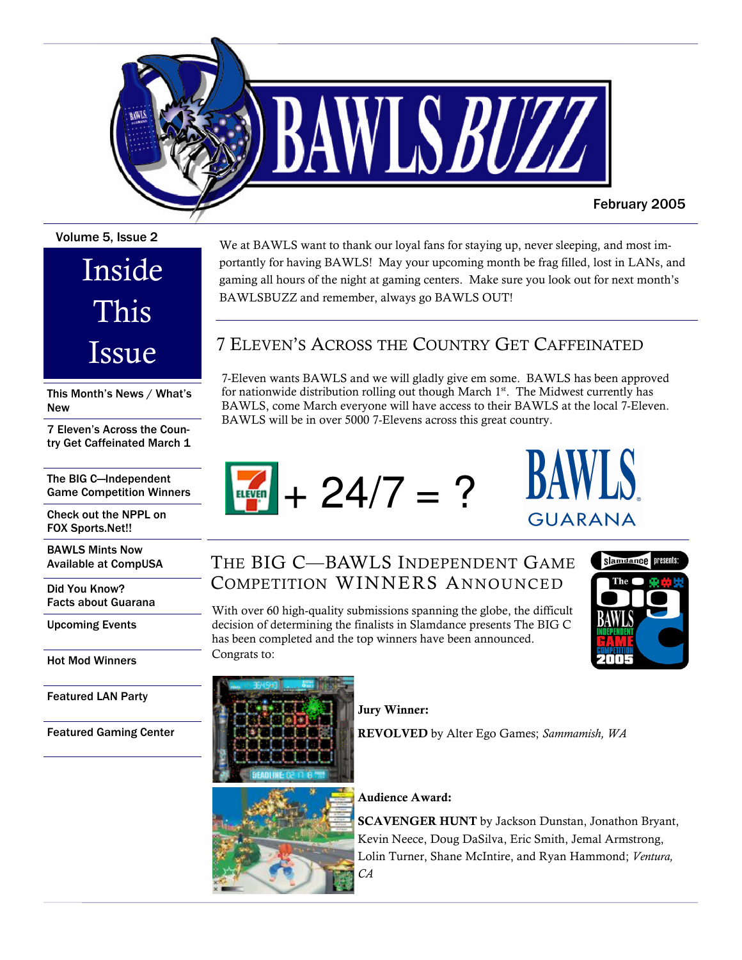

#### Volume 5. Issue 2

# Inside This Issue

This Month's News / What's **New** 

7 Eleven's Across the Country Get Caffeinated March 1

The BIG C-Independent **Game Competition Winners** 

Check out the NPPL on FOX Sports.Net!!

**BAWLS Mints Now Available at CompUSA** 

Did You Know? **Facts about Guarana** 

**Upcoming Events** 

**Hot Mod Winners** 

**Featured LAN Party** 

**Featured Gaming Center** 

#### portantly for having BAWLS! May your upcoming month be frag filled, lost in LANs, and gaming all hours of the night at gaming centers. Make sure you look out for next month's BAWLSBUZZ and remember, always go BAWLS OUT!

We at BAWLS want to thank our loyal fans for staying up, never sleeping, and most im-

### 7 ELEVEN'S ACROSS THE COUNTRY GET CAFFEINATED

7-Eleven wants BAWLS and we will gladly give em some. BAWLS has been approved for nationwide distribution rolling out though March 1st. The Midwest currently has BAWLS, come March everyone will have access to their BAWLS at the local 7-Eleven. BAWLS will be in over 5000 7-Elevens across this great country.







# THE BIG C-BAWLS INDEPENDENT GAME COMPETITION WINNERS ANNOUNCED

With over 60 high-quality submissions spanning the globe, the difficult decision of determining the finalists in Slamdance presents The BIG C has been completed and the top winners have been announced. Congrats to:





#### **Jury Winner:**

REVOLVED by Alter Ego Games; Sammamish, WA



#### **Audience Award:**

**SCAVENGER HUNT** by Jackson Dunstan, Jonathon Bryant, Kevin Neece, Doug DaSilva, Eric Smith, Jemal Armstrong, Lolin Turner, Shane McIntire, and Ryan Hammond; Ventura,  $CA$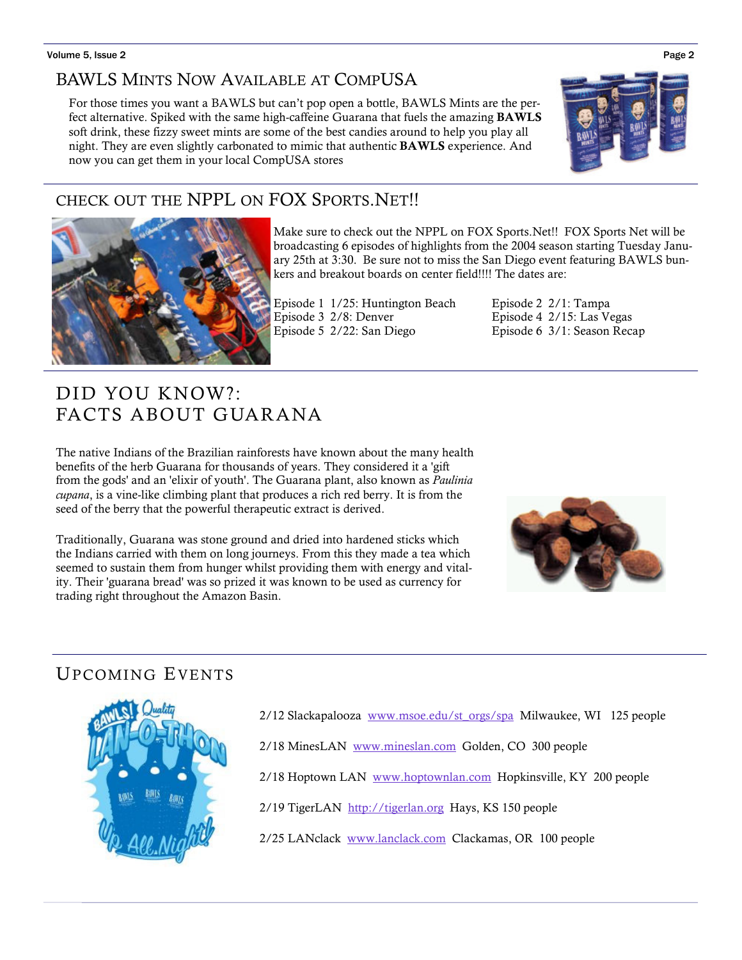#### BAWLS MINTS NOW AVAILABLE AT COMPUSA

For those times you want a BAWLS but can't pop open a bottle, BAWLS Mints are the perfect alternative. Spiked with the same high-caffeine Guarana that fuels the amazing **BAWLS** soft drink, these fizzy sweet mints are some of the best candies around to help you play all night. They are even slightly carbonated to mimic that authentic **BAWLS** experience. And now you can get them in your local CompUSA stores

## CHECK OUT THE NPPL ON FOX SPORTS. NET!!



Make sure to check out the NPPL on FOX Sports. Net!! FOX Sports Net will be broadcasting 6 episodes of highlights from the 2004 season starting Tuesday January 25th at 3:30. Be sure not to miss the San Diego event featuring BAWLS bunkers and breakout boards on center field!!!! The dates are:

Episode 1 1/25: Huntington Beach Episode 3 2/8: Denver Episode 5 2/22: San Diego

Episode 2 2/1: Tampa Episode 4 2/15: Las Vegas Episode 6 3/1: Season Recap

# DID YOU KNOW?: FACTS ABOUT GUARANA

The native Indians of the Brazilian rainforests have known about the many health benefits of the herb Guarana for thousands of years. They considered it a 'gift from the gods' and an 'elixir of youth'. The Guarana plant, also known as Paulinia cupana, is a vine-like climbing plant that produces a rich red berry. It is from the seed of the berry that the powerful therapeutic extract is derived.

Traditionally, Guarana was stone ground and dried into hardened sticks which the Indians carried with them on long journeys. From this they made a tea which seemed to sustain them from hunger whilst providing them with energy and vitality. Their 'guarana bread' was so prized it was known to be used as currency for trading right throughout the Amazon Basin.



### **UPCOMING EVENTS**



2/12 Slackapalooza www.msoe.edu/st orgs/spa Milwaukee, WI 125 people

2/18 MinesLAN www.mineslan.com Golden, CO 300 people

2/18 Hoptown LAN www.hoptownlan.com Hopkinsville, KY 200 people

2/19 TigerLAN http://tigerlan.org Hays, KS 150 people

2/25 LANclack www.lanclack.com Clackamas, OR 100 people

#### Page 2